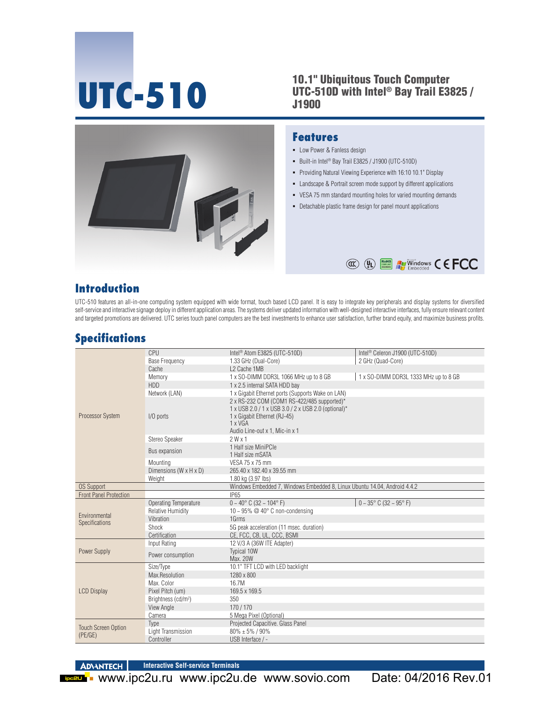# **UTC-510**

#### 10.1" Ubiquitous Touch Computer UTC-510D with Intel® Bay Trail E3825 / J1900



#### **Features**

- **-** Low Power & Fanless design
- Built-in Intel® Bay Trail E3825 / J1900 (UTC-510D)
- Providing Natural Viewing Experience with 16:10 10.1" Display
- **EXECUTE:** Landscape & Portrait screen mode support by different applications
- VESA 75 mm standard mounting holes for varied mounting demands
- Detachable plastic frame design for panel mount applications



### **Introduction**

UTC-510 features an all-in-one computing system equipped with wide format, touch based LCD panel. It is easy to integrate key peripherals and display systems for diversified self-service and interactive signage deploy in different application areas. The systems deliver updated information with well-designed interactive interfaces, fully ensure relevant content and targeted promotions are delivered. UTC series touch panel computers are the best investments to enhance user satisfaction, further brand equity, and maximize business profits.

## **Specifications**

|                                       | CPU                             | Intel <sup>®</sup> Atom E3825 (UTC-510D)                                                                                                                                        | Intel <sup>®</sup> Celeron J1900 (UTC-510D) |
|---------------------------------------|---------------------------------|---------------------------------------------------------------------------------------------------------------------------------------------------------------------------------|---------------------------------------------|
| Processor System                      | <b>Base Frequency</b>           | 1.33 GHz (Dual-Core)                                                                                                                                                            | 2 GHz (Quad-Core)                           |
|                                       | Cache                           | L2 Cache 1MB                                                                                                                                                                    |                                             |
|                                       | Memory                          | 1 x SO-DIMM DDR3L 1066 MHz up to 8 GB                                                                                                                                           | 1 x SO-DIMM DDR3L 1333 MHz up to 8 GB       |
|                                       | <b>HDD</b>                      | 1 x 2.5 internal SATA HDD bay                                                                                                                                                   |                                             |
|                                       | Network (LAN)                   | 1 x Gigabit Ethernet ports (Supports Wake on LAN)                                                                                                                               |                                             |
|                                       | I/O ports                       | 2 x RS-232 COM (COM1 RS-422/485 supported)*<br>1 x USB 2.0 / 1 x USB 3.0 / 2 x USB 2.0 (optional)*<br>1 x Gigabit Ethernet (RJ-45)<br>1 x VGA<br>Audio Line-out x 1. Mic-in x 1 |                                             |
|                                       | Stereo Speaker                  | 2Wx1                                                                                                                                                                            |                                             |
|                                       | Bus expansion                   | 1 Half size MiniPCle<br>1 Half size mSATA                                                                                                                                       |                                             |
|                                       | Mounting                        | VESA 75 x 75 mm                                                                                                                                                                 |                                             |
|                                       | Dimensions (W x H x D)          | 265.40 x 182.40 x 39.55 mm                                                                                                                                                      |                                             |
|                                       | Weight                          | 1.80 kg (3.97 lbs)                                                                                                                                                              |                                             |
| <b>OS Support</b>                     |                                 | Windows Embedded 7, Windows Embedded 8, Linux Ubuntu 14.04, Android 4.4.2                                                                                                       |                                             |
| <b>Front Panel Protection</b>         |                                 | IP65                                                                                                                                                                            |                                             |
|                                       | Operating Temperature           | $0 - 40^{\circ}$ C (32 ~ 104°F)                                                                                                                                                 | $0 - 35^{\circ}$ C (32 ~ 95° F)             |
| Environmental                         | <b>Relative Humidity</b>        | 10 ~ 95% $@$ 40° C non-condensing                                                                                                                                               |                                             |
| Specifications                        | Vibration                       | 1Grms                                                                                                                                                                           |                                             |
|                                       | Shock                           | 5G peak acceleration (11 msec. duration)                                                                                                                                        |                                             |
|                                       | Certification                   | CE, FCC, CB, UL, CCC, BSMI                                                                                                                                                      |                                             |
|                                       | Input Rating                    | 12 V/3 A (36W ITE Adapter)                                                                                                                                                      |                                             |
| Power Supply                          | Power consumption               | <b>Typical 10W</b><br>Max. 20W                                                                                                                                                  |                                             |
|                                       | Size/Type                       | 10.1" TFT LCD with LED backlight                                                                                                                                                |                                             |
|                                       | Max.Resolution                  | 1280 x 800                                                                                                                                                                      |                                             |
| <b>LCD Display</b>                    | Max. Color                      | 16.7M                                                                                                                                                                           |                                             |
|                                       | Pixel Pitch (um)                | 169.5 x 169.5                                                                                                                                                                   |                                             |
|                                       | Brightness (cd/m <sup>2</sup> ) | 350                                                                                                                                                                             |                                             |
|                                       | <b>View Angle</b>               | 170/170                                                                                                                                                                         |                                             |
|                                       | Camera                          | 5 Mega Pixel (Optional)                                                                                                                                                         |                                             |
| <b>Touch Screen Option</b><br>(PE/GE) | Type                            | Projected Capacitive. Glass Panel                                                                                                                                               |                                             |
|                                       | Light Transmission              | $80\% \pm 5\%$ / 90%                                                                                                                                                            |                                             |
|                                       | Controller                      | USB Interface / -                                                                                                                                                               |                                             |

**ADVANTECH Interactive Self-service Terminals**

**EGRU WWW.ipc2u.ru www.ipc2u.de www.sovio.com** Date: 04/2016 Rev.01